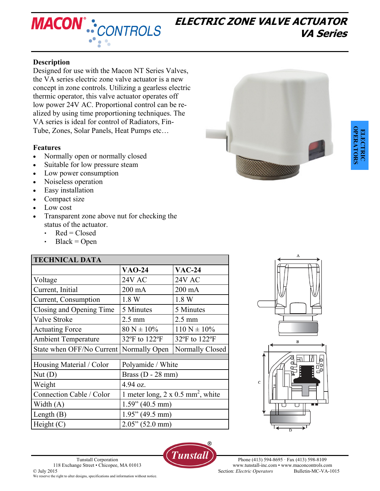

# **ELECTRIC ZONE VALVE ACTUATOR VA Series**

## **Description**

Designed for use with the Macon NT Series Valves, the VA series electric zone valve actuator is a new concept in zone controls. Utilizing a gearless electric thermic operator, this valve actuator operates off low power 24V AC. Proportional control can be realized by using time proportioning techniques. The VA series is ideal for control of Radiators, Fin-Tube, Zones, Solar Panels, Heat Pumps etc…

#### **Features**

- Normally open or normally closed
- Suitable for low pressure steam
- Low power consumption
- Noiseless operation
- Easy installation
- Compact size
- Low cost
- Transparent zone above nut for checking the status of the actuator.
	- $\text{-}$  Red = Closed
	- $Black = Open$

| <b>TECHNICAL DATA</b>                 |                                                      |                  |
|---------------------------------------|------------------------------------------------------|------------------|
|                                       | <b>VAO-24</b>                                        | <b>VAC-24</b>    |
| Voltage                               | 24V AC                                               | <b>24V AC</b>    |
| Current, Initial                      | 200 mA                                               | $200 \text{ mA}$ |
| Current, Consumption                  | 1.8 W                                                | 1.8 W            |
| Closing and Opening Time              | 5 Minutes                                            | 5 Minutes        |
| Valve Stroke                          | $2.5 \text{ mm}$                                     | $2.5 \text{ mm}$ |
| <b>Actuating Force</b>                | $80 N \pm 10\%$                                      | $110 N \pm 10\%$ |
| <b>Ambient Temperature</b>            | 32°F to 122°F                                        | 32°F to 122°F    |
| State when OFF/No Current             | Normally Open                                        | Normally Closed  |
|                                       |                                                      |                  |
| Housing Material / Color              | Polyamide / White                                    |                  |
| $\mathrm{Nut}\left(\mathrm{D}\right)$ | Brass $(D - 28$ mm)                                  |                  |
| Weight                                | 4.94 oz.                                             |                  |
| Connection Cable / Color              | 1 meter long, $2 \times 0.5$ mm <sup>2</sup> , white |                  |
| Width $(A)$                           | $1.59$ " (40.5 mm)                                   |                  |
| Length $(B)$                          | $1.95$ " (49.5 mm)                                   |                  |
| Height $(C)$                          | $2.05$ " (52.0 mm)                                   |                  |